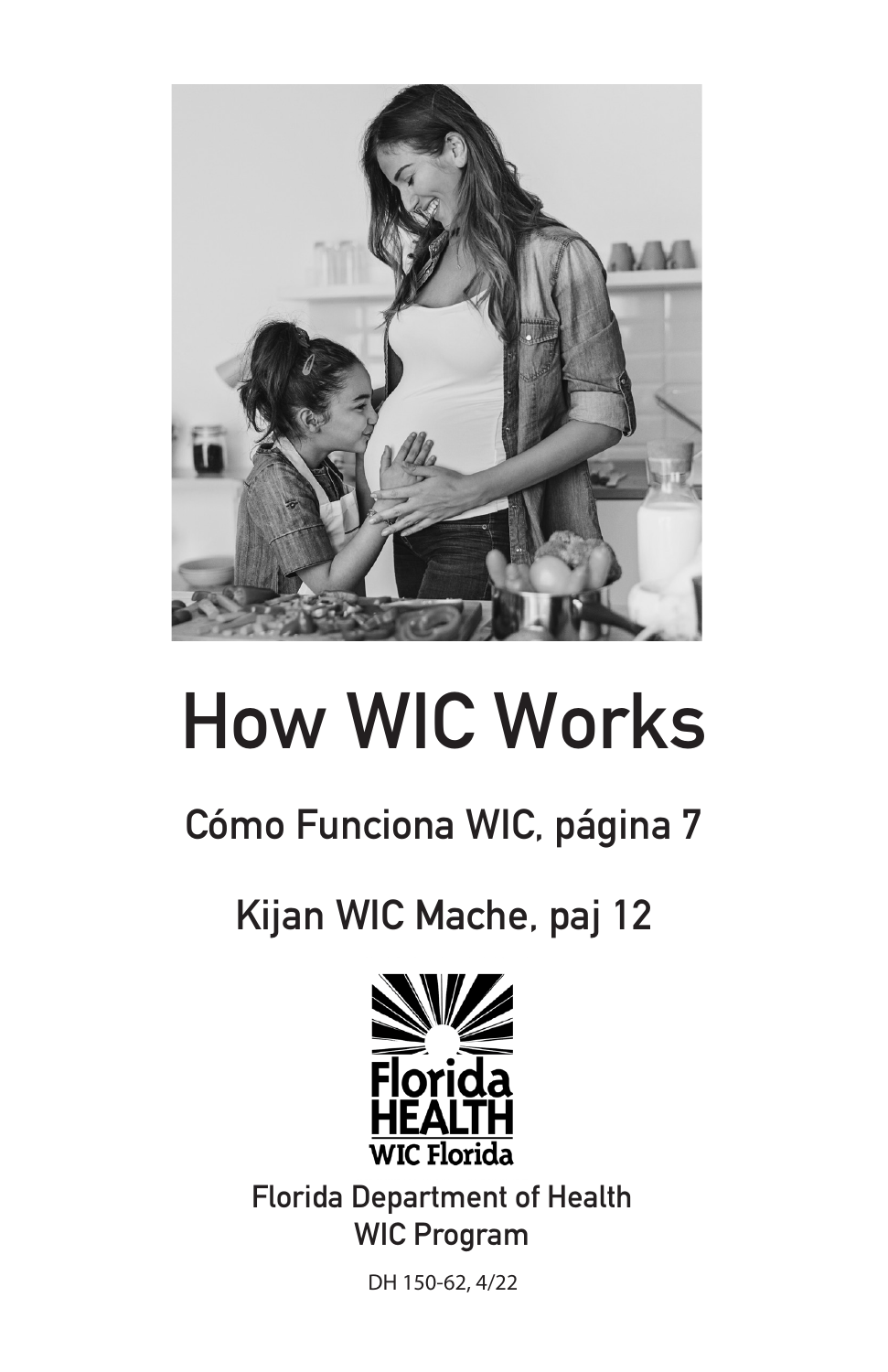

# How WIC Works

# Cómo Funciona WIC, página 7

Kijan WIC Mache, paj 12



Florida Department of Health WIC Program

DH 150-62, 4/22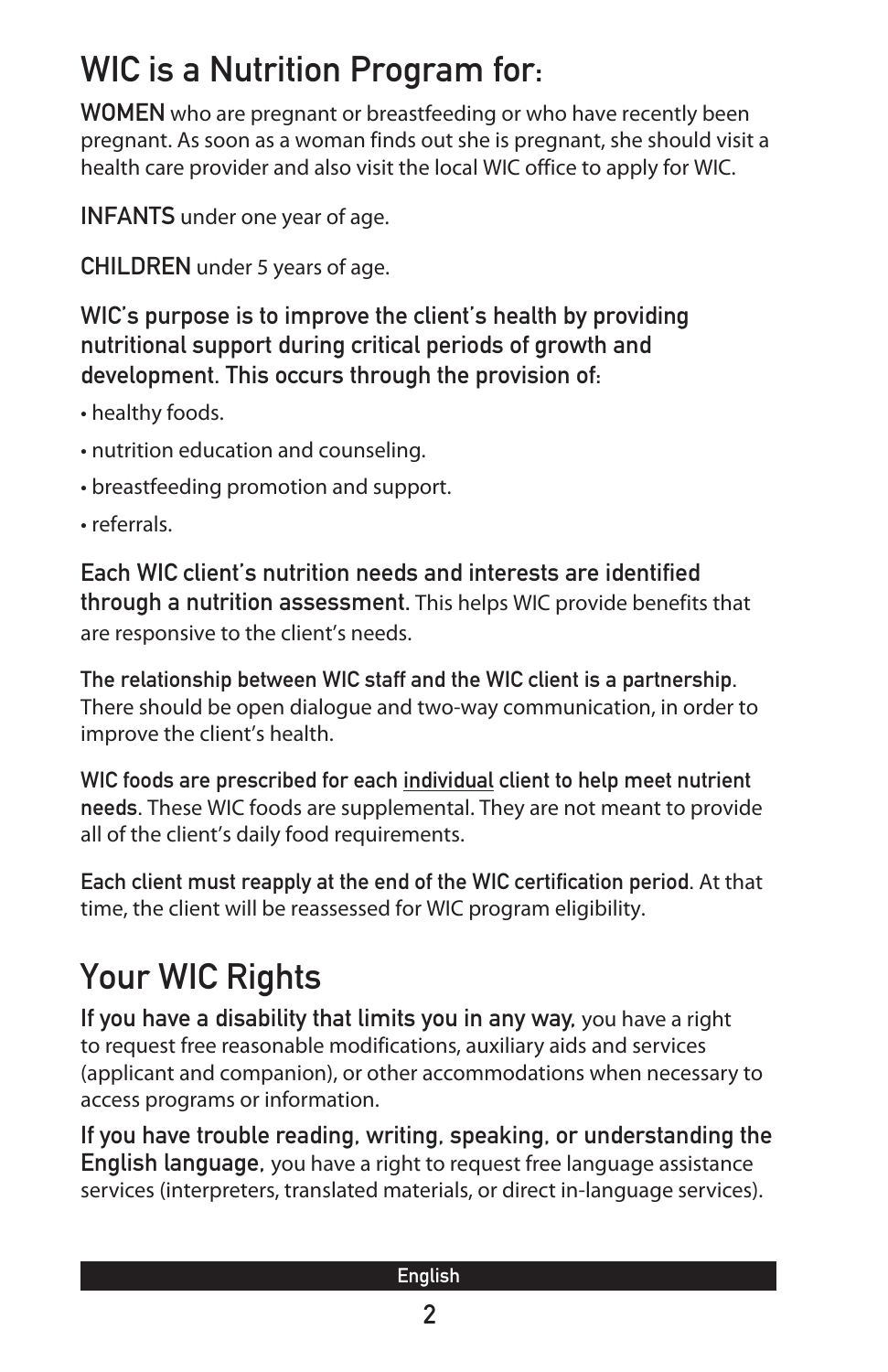### WIC is a Nutrition Program for:

WOMEN who are pregnant or breastfeeding or who have recently been pregnant. As soon as a woman finds out she is pregnant, she should visit a health care provider and also visit the local WIC office to apply for WIC.

INFANTS under one year of age.

CHILDREN under 5 years of age.

WIC's purpose is to improve the client's health by providing nutritional support during critical periods of growth and development. This occurs through the provision of:

- healthy foods.
- nutrition education and counseling.
- breastfeeding promotion and support.
- referrals.

Each WIC client's nutrition needs and interests are identified through a nutrition assessment. This helps WIC provide benefits that are responsive to the client's needs.

The relationship between WIC staff and the WIC client is a partnership. There should be open dialogue and two-way communication, in order to improve the client's health.

WIC foods are prescribed for each individual client to help meet nutrient needs. These WIC foods are supplemental. They are not meant to provide all of the client's daily food requirements.

Each client must reapply at the end of the WIC certification period. At that time, the client will be reassessed for WIC program eligibility.

# Your WIC Rights

If you have a disability that limits you in any way, you have a right to request free reasonable modifications, auxiliary aids and services (applicant and companion), or other accommodations when necessary to access programs or information.

If you have trouble reading, writing, speaking, or understanding the English language, you have a right to request free language assistance services (interpreters, translated materials, or direct in-language services).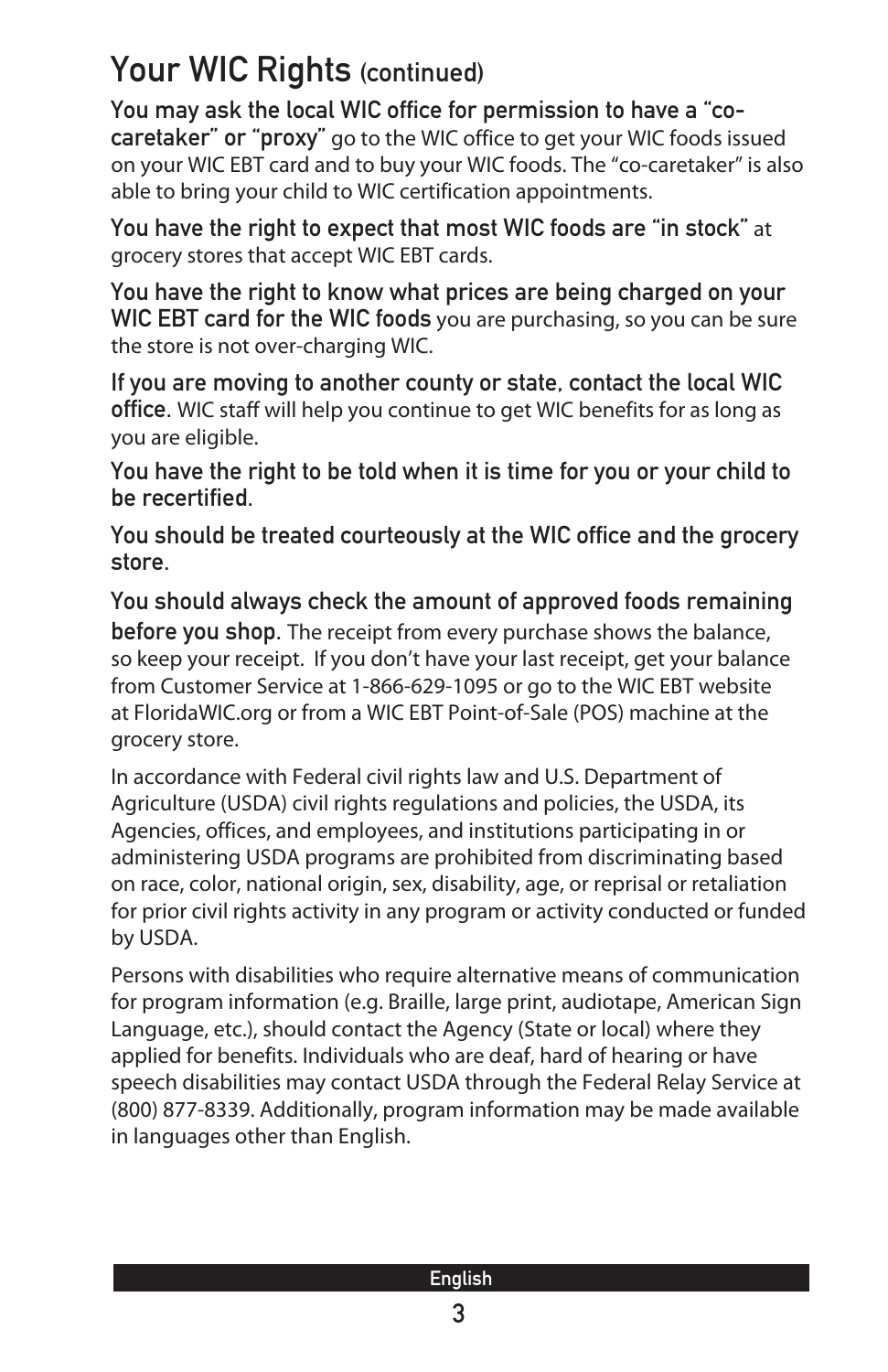### Your WIC Rights (continued)

You may ask the local WIC office for permission to have a "cocaretaker" or "proxy" go to the WIC office to get your WIC foods issued on your WIC EBT card and to buy your WIC foods. The "co-caretaker" is also able to bring your child to WIC certification appointments.

You have the right to expect that most WIC foods are "in stock" at grocery stores that accept WIC EBT cards.

You have the right to know what prices are being charged on your WIC EBT card for the WIC foods you are purchasing, so you can be sure the store is not over-charging WIC.

If you are moving to another county or state, contact the local WIC office. WIC staff will help you continue to get WIC benefits for as long as you are eligible.

You have the right to be told when it is time for you or your child to be recertified.

You should be treated courteously at the WIC office and the grocery store.

You should always check the amount of approved foods remaining before you shop. The receipt from every purchase shows the balance, so keep your receipt. If you don't have your last receipt, get your balance from Customer Service at 1-866-629-1095 or go to the WIC EBT website at FloridaWIC.org or from a WIC EBT Point-of-Sale (POS) machine at the grocery store.

In accordance with Federal civil rights law and U.S. Department of Agriculture (USDA) civil rights regulations and policies, the USDA, its Agencies, offices, and employees, and institutions participating in or administering USDA programs are prohibited from discriminating based on race, color, national origin, sex, disability, age, or reprisal or retaliation for prior civil rights activity in any program or activity conducted or funded by USDA.

Persons with disabilities who require alternative means of communication for program information (e.g. Braille, large print, audiotape, American Sign Language, etc.), should contact the Agency (State or local) where they applied for benefits. Individuals who are deaf, hard of hearing or have speech disabilities may contact USDA through the Federal Relay Service at (800) 877-8339. Additionally, program information may be made available in languages other than English.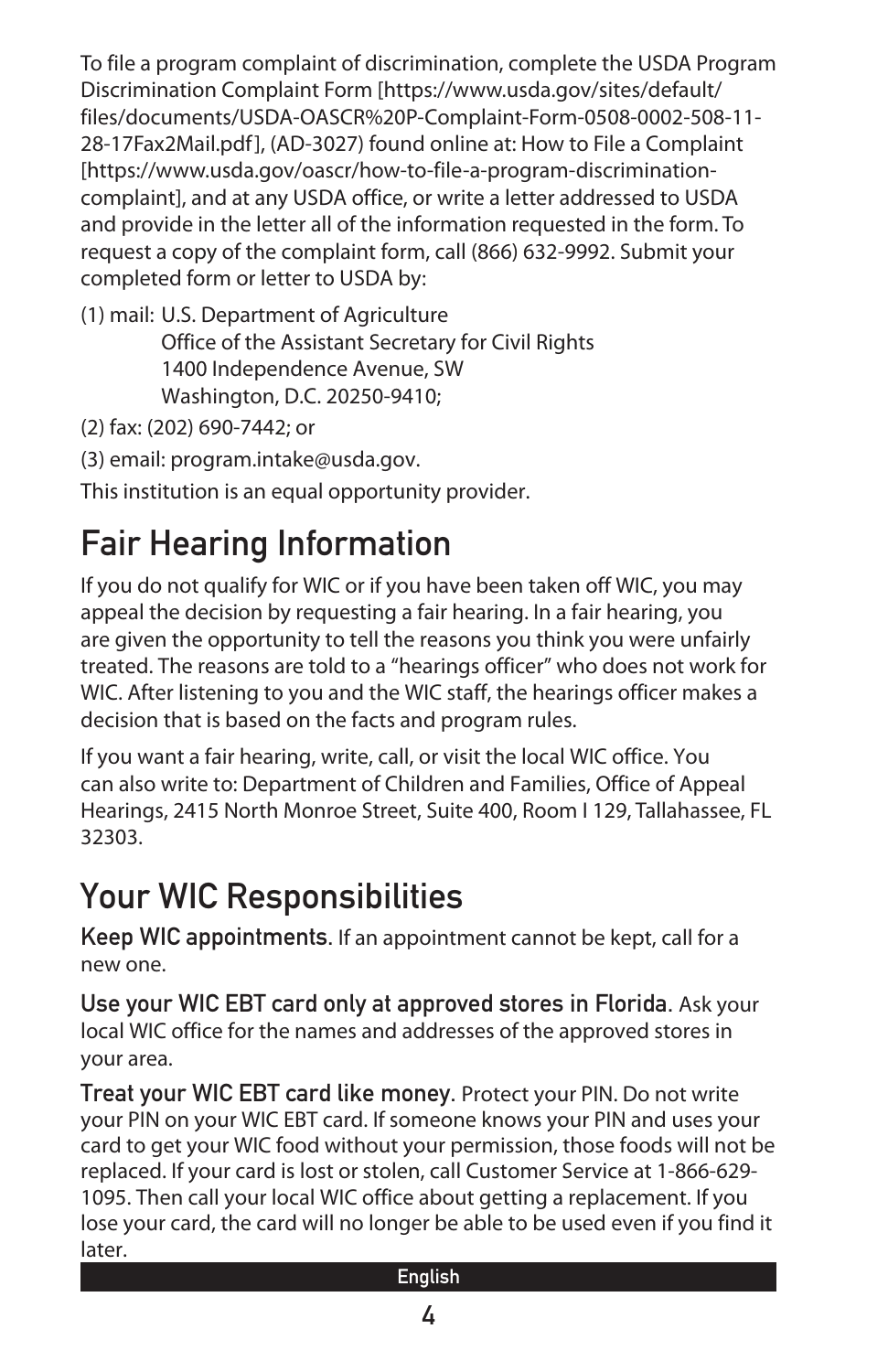To file a program complaint of discrimination, complete the USDA Program Discrimination Complaint Form [https://www.usda.gov/sites/default/ files/documents/USDA-OASCR%20P-Complaint-Form-0508-0002-508-11- 28-17Fax2Mail.pdf], (AD-3027) found online at: How to File a Complaint [https://www.usda.gov/oascr/how-to-file-a-program-discriminationcomplaint], and at any USDA office, or write a letter addressed to USDA and provide in the letter all of the information requested in the form. To request a copy of the complaint form, call (866) 632-9992. Submit your completed form or letter to USDA by:

(1) mail: U.S. Department of Agriculture

Office of the Assistant Secretary for Civil Rights 1400 Independence Avenue, SW Washington, D.C. 20250-9410;

(2) fax: (202) 690-7442; or

(3) email: program.intake@usda.gov.

This institution is an equal opportunity provider.

# Fair Hearing Information

If you do not qualify for WIC or if you have been taken off WIC, you may appeal the decision by requesting a fair hearing. In a fair hearing, you are given the opportunity to tell the reasons you think you were unfairly treated. The reasons are told to a "hearings officer" who does not work for WIC. After listening to you and the WIC staff, the hearings officer makes a decision that is based on the facts and program rules.

If you want a fair hearing, write, call, or visit the local WIC office. You can also write to: Department of Children and Families, Office of Appeal Hearings, 2415 North Monroe Street, Suite 400, Room I 129, Tallahassee, FL 32303.

# Your WIC Responsibilities

Keep WIC appointments. If an appointment cannot be kept, call for a new one.

Use your WIC EBT card only at approved stores in Florida. Ask your local WIC office for the names and addresses of the approved stores in your area.

Treat your WIC EBT card like money. Protect your PIN. Do not write your PIN on your WIC EBT card. If someone knows your PIN and uses your card to get your WIC food without your permission, those foods will not be replaced. If your card is lost or stolen, call Customer Service at 1-866-629- 1095. Then call your local WIC office about getting a replacement. If you lose your card, the card will no longer be able to be used even if you find it later.

#### English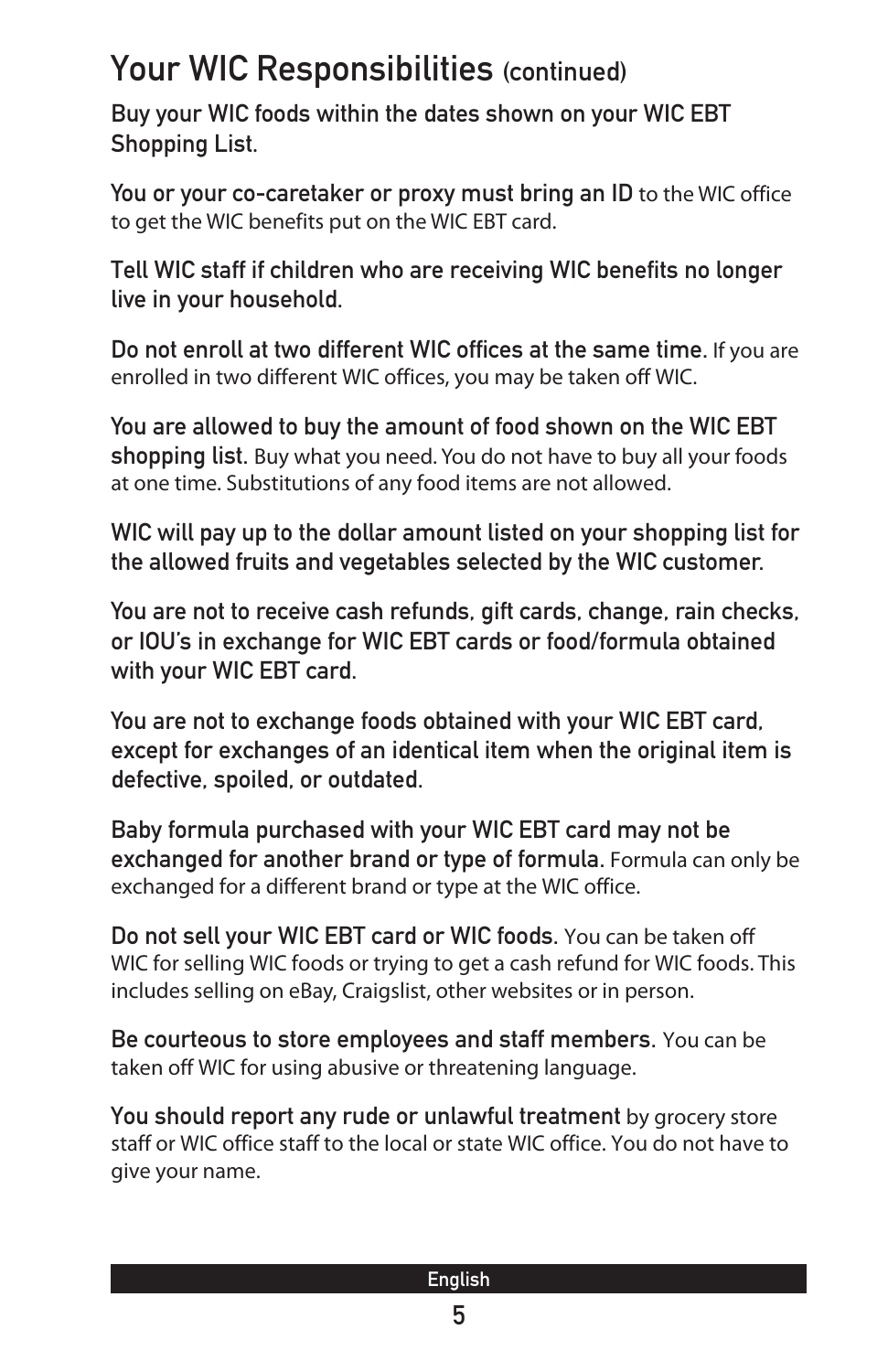#### Your WIC Responsibilities (continued)

Buy your WIC foods within the dates shown on your WIC EBT Shopping List.

You or your co-caretaker or proxy must bring an ID to the WIC office to get the WIC benefits put on the WIC EBT card.

Tell WIC staff if children who are receiving WIC benefits no longer live in your household.

Do not enroll at two different WIC offices at the same time. If you are enrolled in two different WIC offices, you may be taken off WIC.

You are allowed to buy the amount of food shown on the WIC EBT shopping list. Buy what you need. You do not have to buy all your foods at one time. Substitutions of any food items are not allowed.

WIC will pay up to the dollar amount listed on your shopping list for the allowed fruits and vegetables selected by the WIC customer.

You are not to receive cash refunds, gift cards, change, rain checks, or IOU's in exchange for WIC EBT cards or food/formula obtained with your WIC EBT card.

You are not to exchange foods obtained with your WIC EBT card, except for exchanges of an identical item when the original item is defective, spoiled, or outdated.

Baby formula purchased with your WIC EBT card may not be exchanged for another brand or type of formula. Formula can only be exchanged for a different brand or type at the WIC office.

Do not sell your WIC EBT card or WIC foods. You can be taken off WIC for selling WIC foods or trying to get a cash refund for WIC foods. This includes selling on eBay, Craigslist, other websites or in person.

Be courteous to store employees and staff members. You can be taken off WIC for using abusive or threatening language.

You should report any rude or unlawful treatment by grocery store staff or WIC office staff to the local or state WIC office. You do not have to give your name.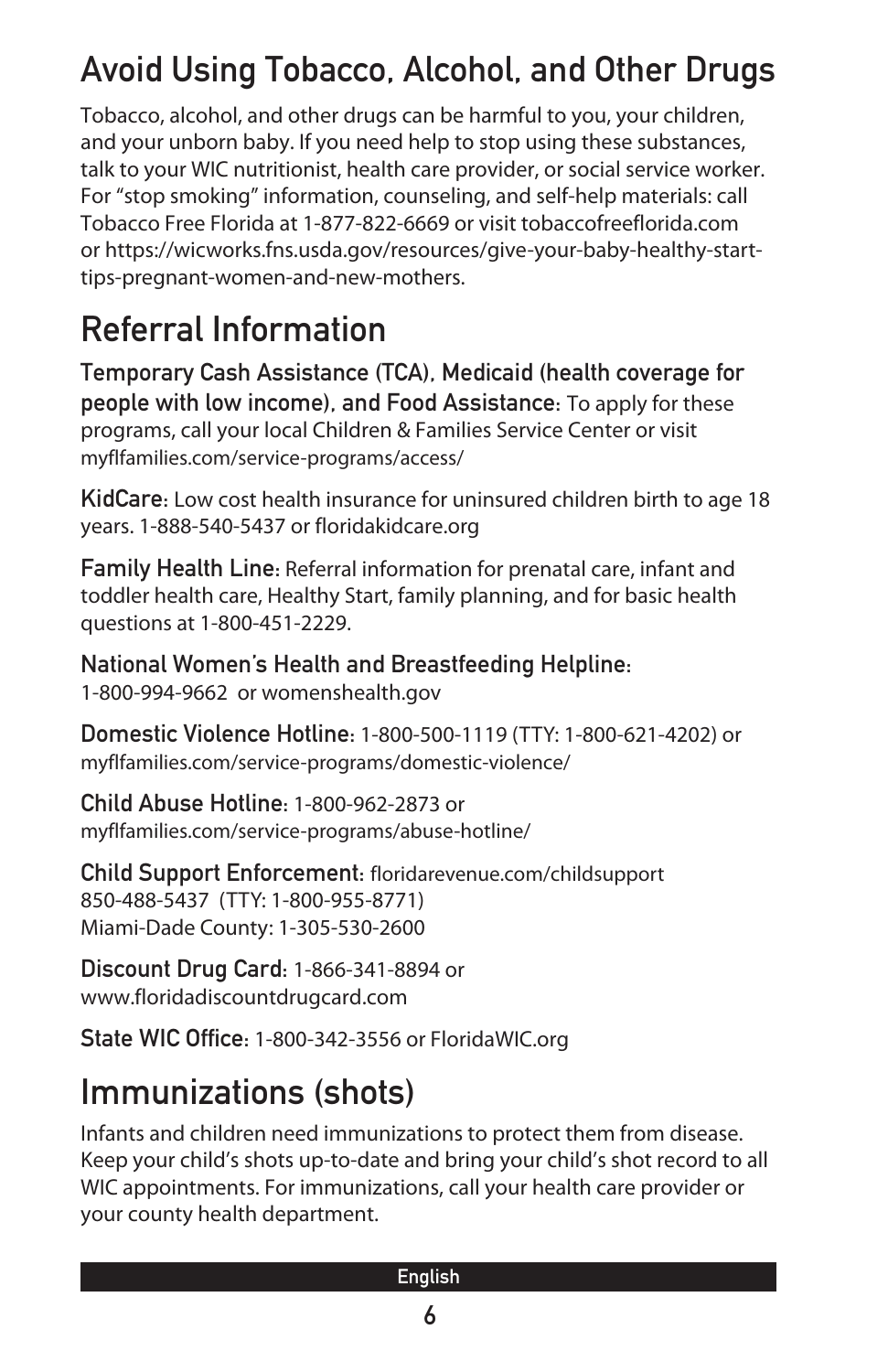# Avoid Using Tobacco, Alcohol, and Other Drugs

Tobacco, alcohol, and other drugs can be harmful to you, your children, and your unborn baby. If you need help to stop using these substances, talk to your WIC nutritionist, health care provider, or social service worker. For "stop smoking" information, counseling, and self-help materials: call Tobacco Free Florida at 1-877-822-6669 or visit tobaccofreeflorida.com or https://wicworks.fns.usda.gov/resources/give-your-baby-healthy-starttips-pregnant-women-and-new-mothers.

### Referral Information

Temporary Cash Assistance (TCA), Medicaid (health coverage for people with low income), and Food Assistance: To apply for these programs, call your local Children & Families Service Center or visit myflfamilies.com/service-programs/access/

KidCare: Low cost health insurance for uninsured children birth to age 18 years. 1-888-540-5437 or floridakidcare.org

Family Health Line: Referral information for prenatal care, infant and toddler health care, Healthy Start, family planning, and for basic health questions at 1-800-451-2229.

National Women's Health and Breastfeeding Helpline: 1-800-994-9662 or womenshealth.gov

Domestic Violence Hotline: 1-800-500-1119 (TTY: 1-800-621-4202) or myflfamilies.com/service-programs/domestic-violence/

Child Abuse Hotline: 1-800-962-2873 or myflfamilies.com/service-programs/abuse-hotline/

Child Support Enforcement: floridarevenue.com/childsupport 850-488-5437 (TTY: 1-800-955-8771) Miami-Dade County: 1-305-530-2600

Discount Drug Card: 1-866-341-8894 or www.floridadiscountdrugcard.com

State WIC Office: 1-800-342-3556 or FloridaWIC.org

### Immunizations (shots)

Infants and children need immunizations to protect them from disease. Keep your child's shots up-to-date and bring your child's shot record to all WIC appointments. For immunizations, call your health care provider or your county health department.

#### English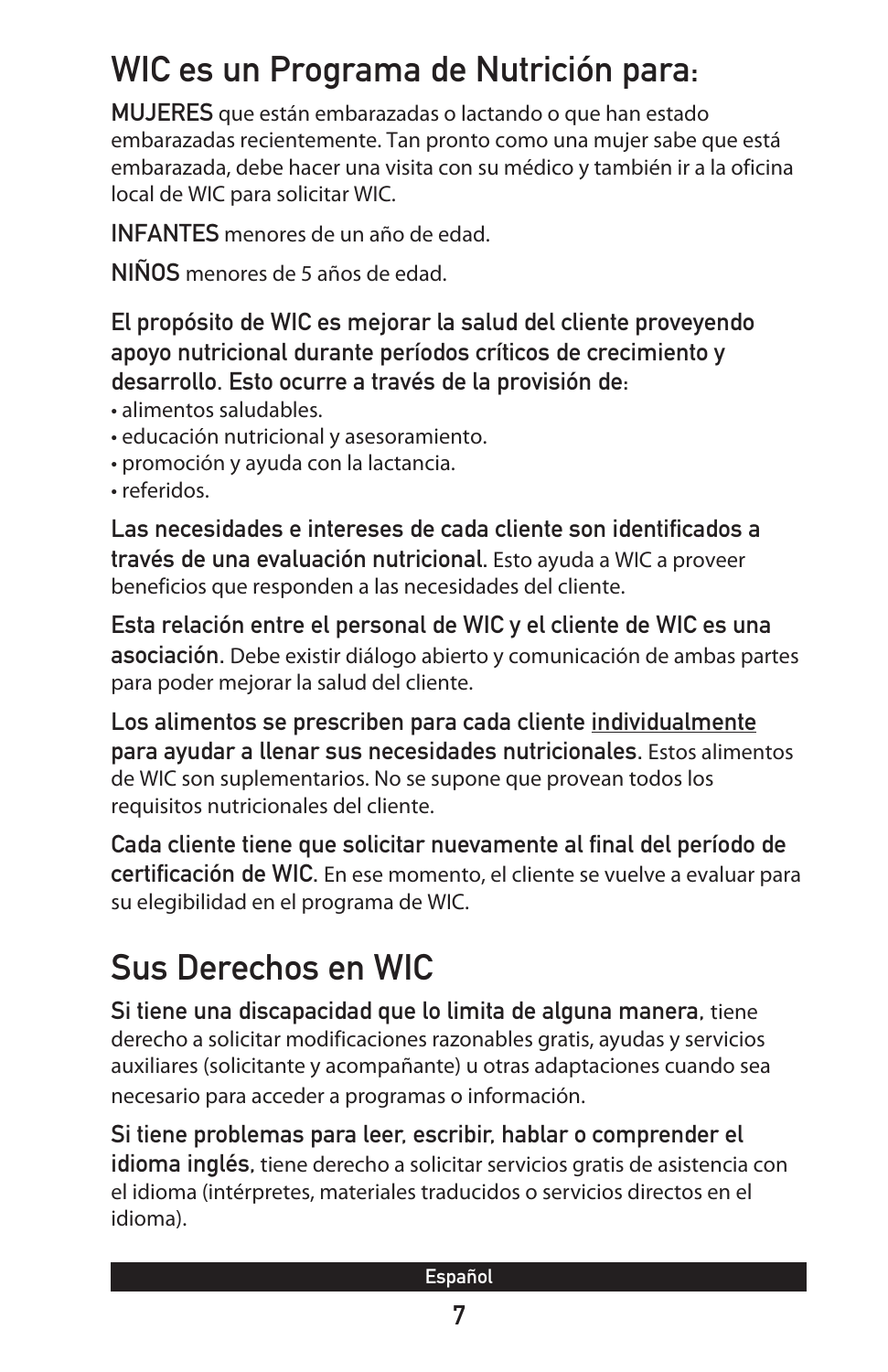# WIC es un Programa de Nutrición para:

MUJERES que están embarazadas o lactando o que han estado embarazadas recientemente. Tan pronto como una mujer sabe que está embarazada, debe hacer una visita con su médico y también ir a la oficina local de WIC para solicitar WIC.

INFANTES menores de un año de edad.

NIÑOS menores de 5 años de edad.

#### El propósito de WIC es mejorar la salud del cliente proveyendo apoyo nutricional durante períodos críticos de crecimiento y desarrollo. Esto ocurre a través de la provisión de:

- alimentos saludables.
- educación nutricional y asesoramiento.
- promoción y ayuda con la lactancia.
- referidos.

Las necesidades e intereses de cada cliente son identificados a través de una evaluación nutricional. Esto ayuda a WIC a proveer beneficios que responden a las necesidades del cliente.

Esta relación entre el personal de WIC y el cliente de WIC es una asociación. Debe existir diálogo abierto y comunicación de ambas partes para poder mejorar la salud del cliente.

Los alimentos se prescriben para cada cliente individualmente para ayudar a llenar sus necesidades nutricionales. Estos alimentos de WIC son suplementarios. No se supone que provean todos los requisitos nutricionales del cliente.

Cada cliente tiene que solicitar nuevamente al final del período de certificación de WIC. En ese momento, el cliente se vuelve a evaluar para su elegibilidad en el programa de WIC.

# Sus Derechos en WIC

Si tiene una discapacidad que lo limita de alguna manera, tiene derecho a solicitar modificaciones razonables gratis, ayudas y servicios auxiliares (solicitante y acompañante) u otras adaptaciones cuando sea necesario para acceder a programas o información.

Si tiene problemas para leer, escribir, hablar o comprender el idioma inglés, tiene derecho a solicitar servicios gratis de asistencia con el idioma (intérpretes, materiales traducidos o servicios directos en el idioma).

|  | <b>Service Service</b> |  |
|--|------------------------|--|
|  |                        |  |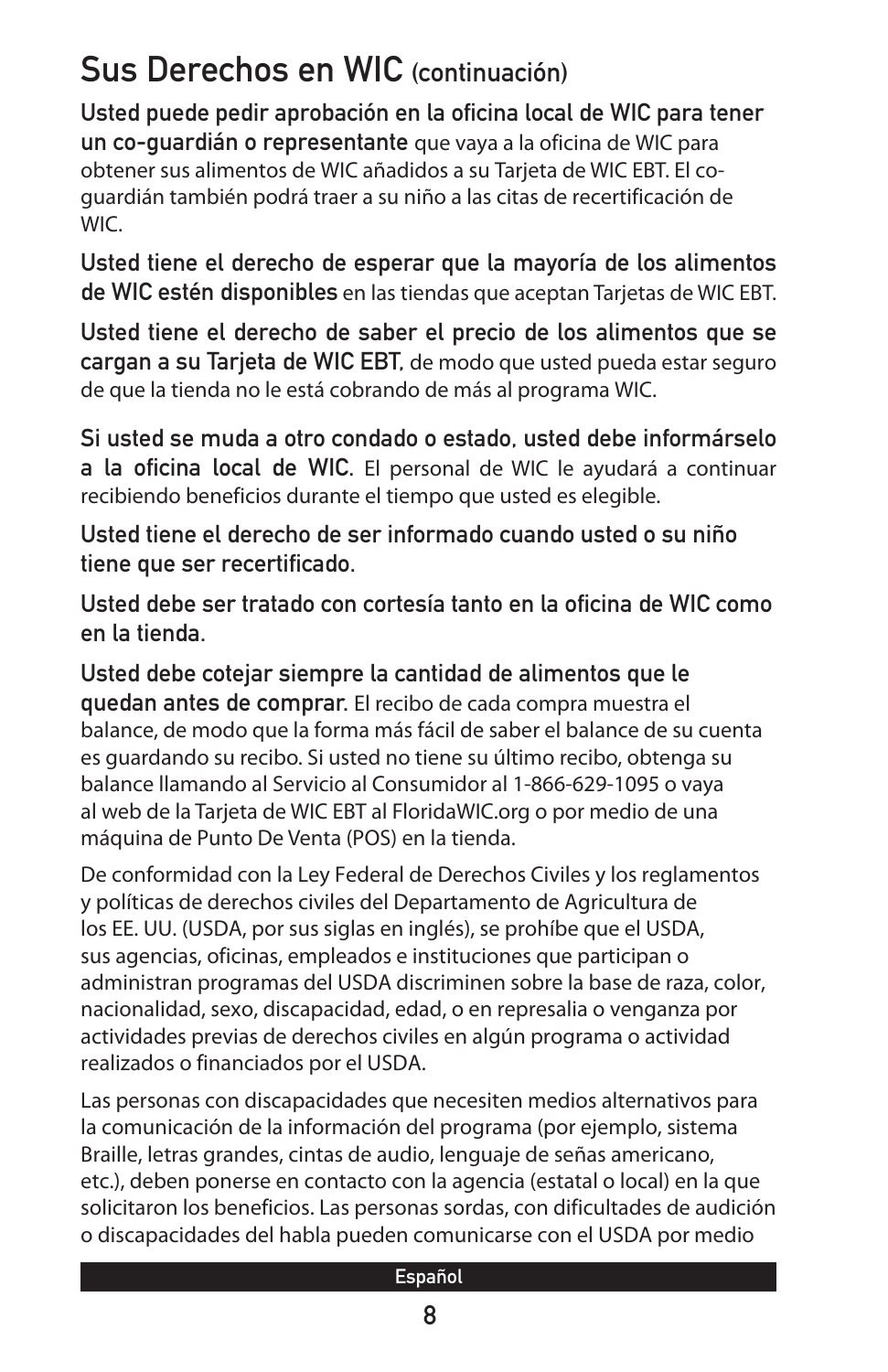### Sus Derechos en WIC (continuación)

Usted puede pedir aprobación en la oficina local de WIC para tener un co-guardián o representante que vaya a la oficina de WIC para obtener sus alimentos de WIC añadidos a su Tarjeta de WIC EBT. El coguardián también podrá traer a su niño a las citas de recertificación de WIC.

Usted tiene el derecho de esperar que la mayoría de los alimentos de WIC estén disponibles en las tiendas que aceptan Tarjetas de WIC EBT.

Usted tiene el derecho de saber el precio de los alimentos que se cargan a su Tarjeta de WIC EBT, de modo que usted pueda estar seguro de que la tienda no le está cobrando de más al programa WIC.

Si usted se muda a otro condado o estado, usted debe informárselo a la oficina local de WIC. El personal de WIC le ayudará a continuar recibiendo beneficios durante el tiempo que usted es elegible.

Usted tiene el derecho de ser informado cuando usted o su niño tiene que ser recertificado.

Usted debe ser tratado con cortesía tanto en la oficina de WIC como en la tienda.

Usted debe cotejar siempre la cantidad de alimentos que le quedan antes de comprar. El recibo de cada compra muestra el balance, de modo que la forma más fácil de saber el balance de su cuenta es guardando su recibo. Si usted no tiene su último recibo, obtenga su balance llamando al Servicio al Consumidor al 1-866-629-1095 o vaya al web de la Tarjeta de WIC EBT al FloridaWIC.org o por medio de una máquina de Punto De Venta (POS) en la tienda.

De conformidad con la Ley Federal de Derechos Civiles y los reglamentos y políticas de derechos civiles del Departamento de Agricultura de los EE. UU. (USDA, por sus siglas en inglés), se prohíbe que el USDA, sus agencias, oficinas, empleados e instituciones que participan o administran programas del USDA discriminen sobre la base de raza, color, nacionalidad, sexo, discapacidad, edad, o en represalia o venganza por actividades previas de derechos civiles en algún programa o actividad realizados o financiados por el USDA.

Las personas con discapacidades que necesiten medios alternativos para la comunicación de la información del programa (por ejemplo, sistema Braille, letras grandes, cintas de audio, lenguaje de señas americano, etc.), deben ponerse en contacto con la agencia (estatal o local) en la que solicitaron los beneficios. Las personas sordas, con dificultades de audición o discapacidades del habla pueden comunicarse con el USDA por medio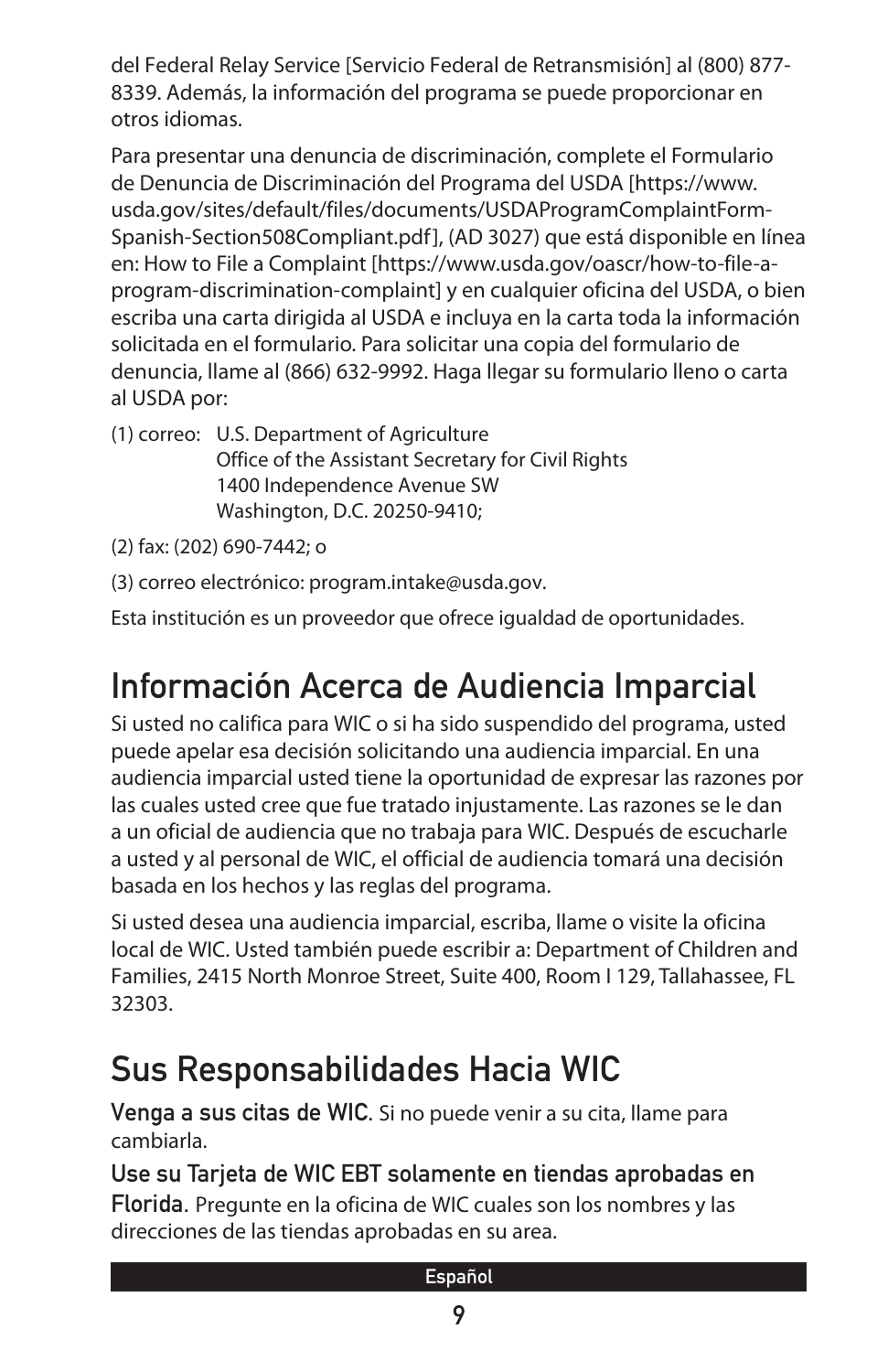del Federal Relay Service [Servicio Federal de Retransmisión] al (800) 877- 8339. Además, la información del programa se puede proporcionar en otros idiomas.

Para presentar una denuncia de discriminación, complete el Formulario de Denuncia de Discriminación del Programa del USDA [https://www. usda.gov/sites/default/files/documents/USDAProgramComplaintForm-Spanish-Section508Compliant.pdf], (AD 3027) que está disponible en línea en: How to File a Complaint [https://www.usda.gov/oascr/how-to-file-aprogram-discrimination-complaint] y en cualquier oficina del USDA, o bien escriba una carta dirigida al USDA e incluya en la carta toda la información solicitada en el formulario. Para solicitar una copia del formulario de denuncia, llame al (866) 632-9992. Haga llegar su formulario lleno o carta al USDA por:

(1) correo: U.S. Department of Agriculture Office of the Assistant Secretary for Civil Rights 1400 Independence Avenue SW Washington, D.C. 20250-9410;

(2) fax: (202) 690-7442; o

(3) correo electrónico: program.intake@usda.gov.

Esta institución es un proveedor que ofrece igualdad de oportunidades.

# Información Acerca de Audiencia Imparcial

Si usted no califica para WIC o si ha sido suspendido del programa, usted puede apelar esa decisión solicitando una audiencia imparcial. En una audiencia imparcial usted tiene la oportunidad de expresar las razones por las cuales usted cree que fue tratado injustamente. Las razones se le dan a un oficial de audiencia que no trabaja para WIC. Después de escucharle a usted y al personal de WIC, el official de audiencia tomará una decisión basada en los hechos y las reglas del programa.

Si usted desea una audiencia imparcial, escriba, llame o visite la oficina local de WIC. Usted también puede escribir a: Department of Children and Families, 2415 North Monroe Street, Suite 400, Room I 129, Tallahassee, FL 32303.

### Sus Responsabilidades Hacia WIC

Venga a sus citas de WIC. Si no puede venir a su cita, llame para cambiarla.

Use su Tarjeta de WIC EBT solamente en tiendas aprobadas en Florida. Pregunte en la oficina de WIC cuales son los nombres y las direcciones de las tiendas aprobadas en su area.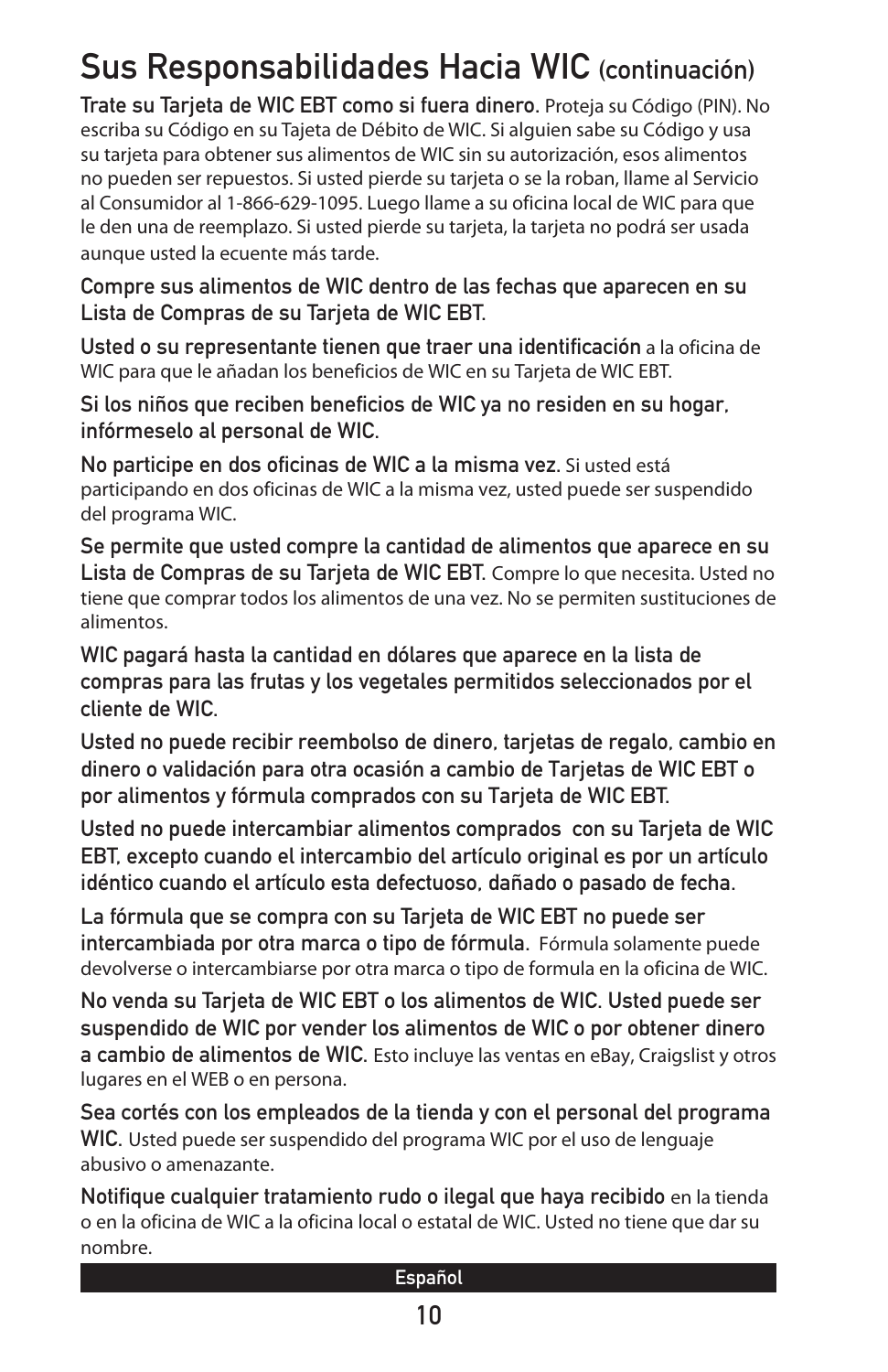### Sus Responsabilidades Hacia WIC (continuación)

Trate su Tarjeta de WIC EBT como si fuera dinero. Proteja su Código (PIN). No escriba su Código en su Tajeta de Débito de WIC. Si alguien sabe su Código y usa su tarjeta para obtener sus alimentos de WIC sin su autorización, esos alimentos no pueden ser repuestos. Si usted pierde su tarjeta o se la roban, llame al Servicio al Consumidor al 1-866-629-1095. Luego llame a su oficina local de WIC para que le den una de reemplazo. Si usted pierde su tarjeta, la tarjeta no podrá ser usada aunque usted la ecuente más tarde.

Compre sus alimentos de WIC dentro de las fechas que aparecen en su Lista de Compras de su Tarjeta de WIC EBT.

Usted o su representante tienen que traer una identificación a la oficina de WIC para que le añadan los beneficios de WIC en su Tarjeta de WIC EBT.

Si los niños que reciben beneficios de WIC ya no residen en su hogar, infórmeselo al personal de WIC.

No participe en dos oficinas de WIC a la misma vez. Si usted está participando en dos oficinas de WIC a la misma vez, usted puede ser suspendido del programa WIC.

Se permite que usted compre la cantidad de alimentos que aparece en su Lista de Compras de su Tarjeta de WIC EBT. Compre lo que necesita. Usted no tiene que comprar todos los alimentos de una vez. No se permiten sustituciones de alimentos.

WIC pagará hasta la cantidad en dólares que aparece en la lista de compras para las frutas y los vegetales permitidos seleccionados por el cliente de WIC.

Usted no puede recibir reembolso de dinero, tarjetas de regalo, cambio en dinero o validación para otra ocasión a cambio de Tarjetas de WIC EBT o por alimentos y fórmula comprados con su Tarjeta de WIC EBT.

Usted no puede intercambiar alimentos comprados con su Tarjeta de WIC EBT, excepto cuando el intercambio del artículo original es por un artículo idéntico cuando el artículo esta defectuoso, dañado o pasado de fecha.

La fórmula que se compra con su Tarjeta de WIC EBT no puede ser intercambiada por otra marca o tipo de fórmula. Fórmula solamente puede devolverse o intercambiarse por otra marca o tipo de formula en la oficina de WIC.

No venda su Tarjeta de WIC EBT o los alimentos de WIC. Usted puede ser suspendido de WIC por vender los alimentos de WIC o por obtener dinero a cambio de alimentos de WIC. Esto incluye las ventas en eBay, Craigslist y otros lugares en el WEB o en persona.

Sea cortés con los empleados de la tienda y con el personal del programa WIC. Usted puede ser suspendido del programa WIC por el uso de lenguaje abusivo o amenazante.

Notifique cualquier tratamiento rudo o ilegal que haya recibido en la tienda o en la oficina de WIC a la oficina local o estatal de WIC. Usted no tiene que dar su nombre.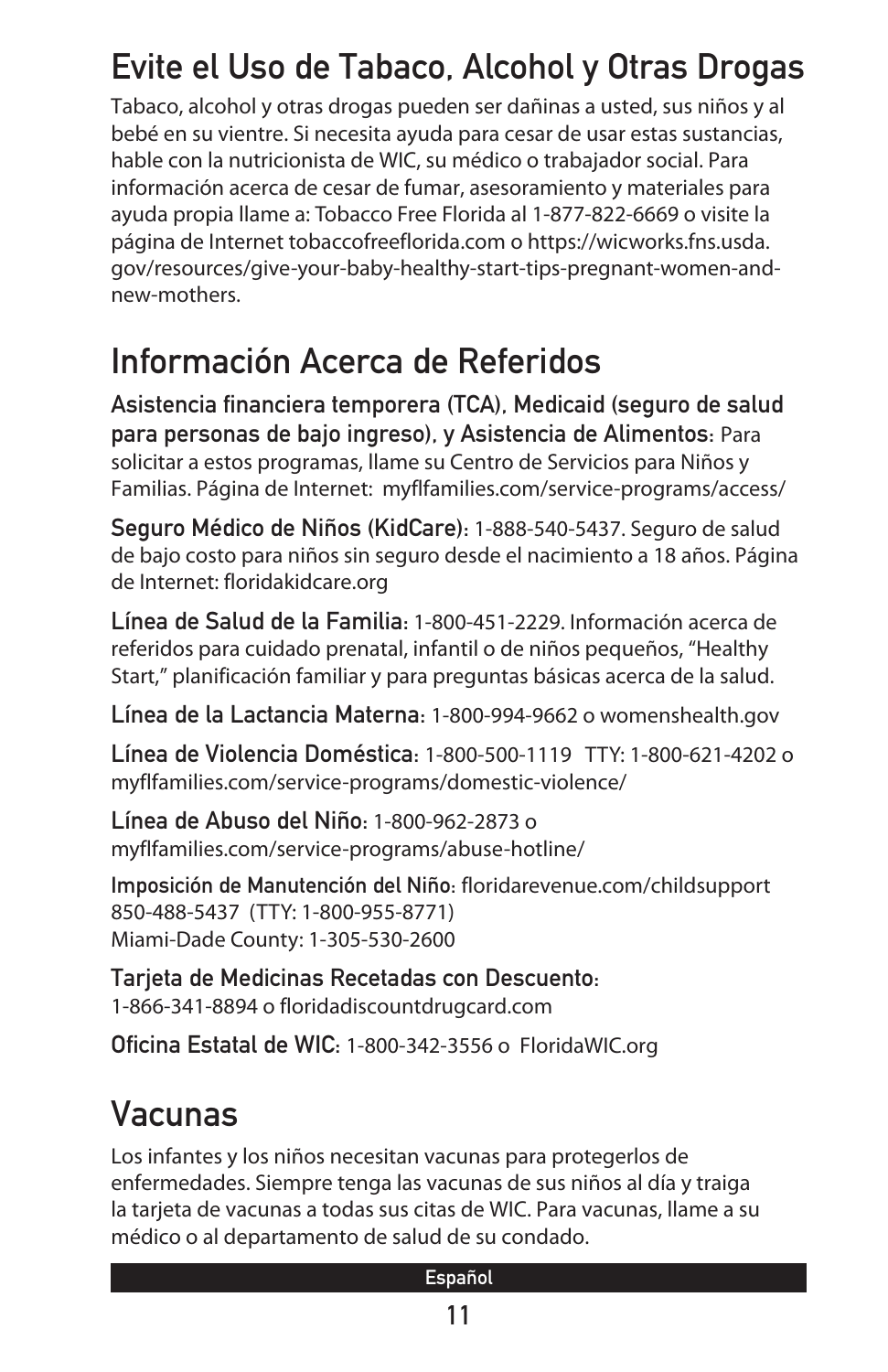### Evite el Uso de Tabaco, Alcohol y Otras Drogas

Tabaco, alcohol y otras drogas pueden ser dañinas a usted, sus niños y al bebé en su vientre. Si necesita ayuda para cesar de usar estas sustancias, hable con la nutricionista de WIC, su médico o trabajador social. Para información acerca de cesar de fumar, asesoramiento y materiales para ayuda propia llame a: Tobacco Free Florida al 1-877-822-6669 o visite la página de Internet tobaccofreeflorida.com o https://wicworks.fns.usda. gov/resources/give-your-baby-healthy-start-tips-pregnant-women-andnew-mothers.

#### Información Acerca de Referidos

Asistencia financiera temporera (TCA), Medicaid (seguro de salud para personas de bajo ingreso), y Asistencia de Alimentos: Para solicitar a estos programas, llame su Centro de Servicios para Niños y Familias. Página de Internet: myflfamilies.com/service-programs/access/

Seguro Médico de Niños (KidCare): 1-888-540-5437. Seguro de salud de bajo costo para niños sin seguro desde el nacimiento a 18 años. Página de Internet: floridakidcare.org

Línea de Salud de la Familia: 1-800-451-2229. Información acerca de referidos para cuidado prenatal, infantil o de niños pequeños, "Healthy Start," planificación familiar y para preguntas básicas acerca de la salud.

Línea de la Lactancia Materna: 1-800-994-9662 o womenshealth.gov

Línea de Violencia Doméstica: 1-800-500-1119 TTY: 1-800-621-4202 o myflfamilies.com/service-programs/domestic-violence/

Línea de Abuso del Niño: 1-800-962-2873 o myflfamilies.com/service-programs/abuse-hotline/

Imposición de Manutención del Niño: floridarevenue.com/childsupport 850-488-5437 (TTY: 1-800-955-8771) Miami-Dade County: 1-305-530-2600

Tarjeta de Medicinas Recetadas con Descuento: 1-866-341-8894 o floridadiscountdrugcard.com

Oficina Estatal de WIC: 1-800-342-3556 o FloridaWIC.org

# Vacunas

Los infantes y los niños necesitan vacunas para protegerlos de enfermedades. Siempre tenga las vacunas de sus niños al día y traiga la tarjeta de vacunas a todas sus citas de WIC. Para vacunas, llame a su médico o al departamento de salud de su condado.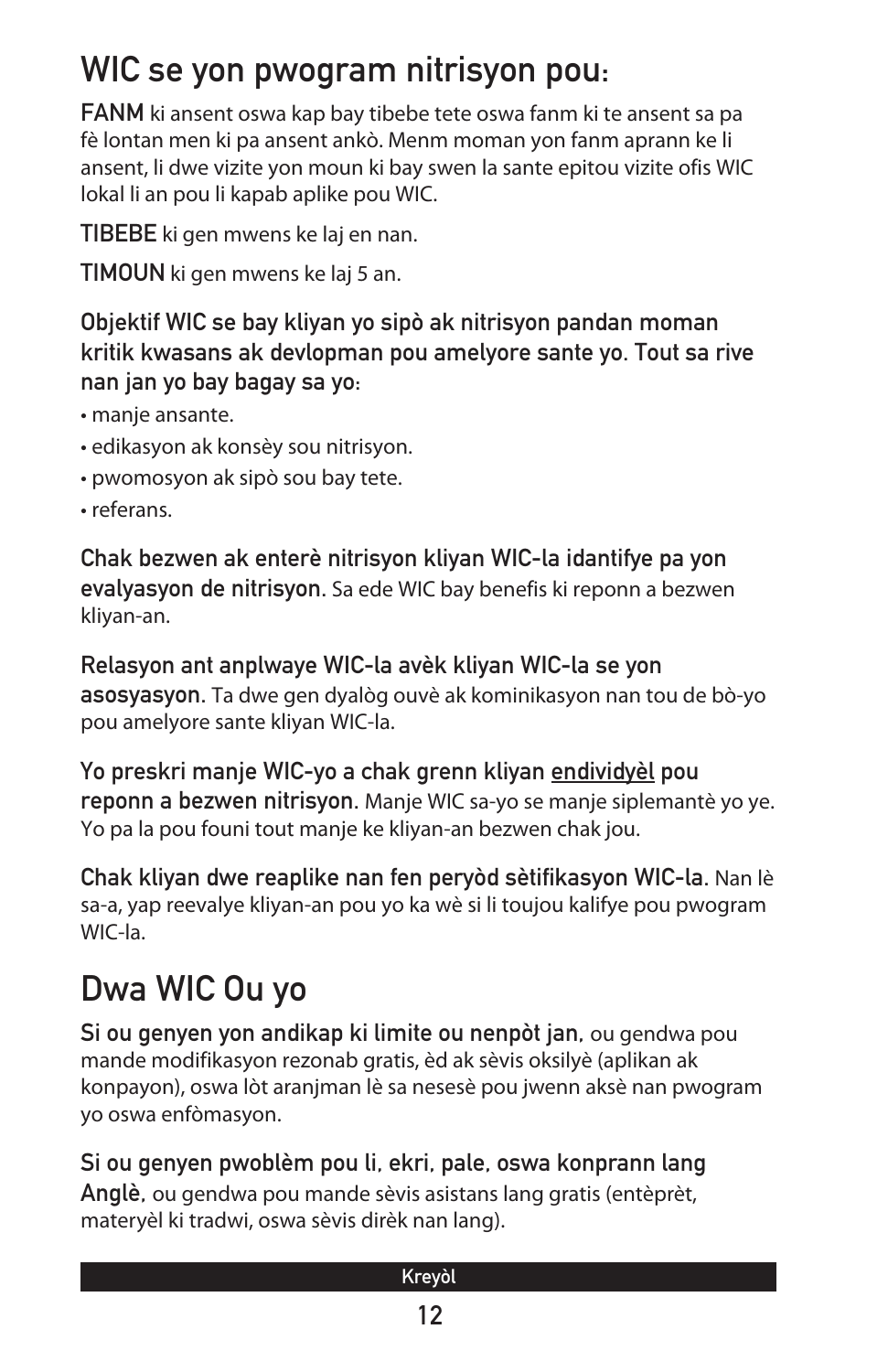### WIC se yon pwogram nitrisyon pou:

FANM ki ansent oswa kap bay tibebe tete oswa fanm ki te ansent sa pa fè lontan men ki pa ansent ankò. Menm moman yon fanm aprann ke li ansent, li dwe vizite yon moun ki bay swen la sante epitou vizite ofis WIC lokal li an pou li kapab aplike pou WIC.

TIBEBE ki gen mwens ke laj en nan.

TIMOUN ki gen mwens ke laj 5 an.

#### Objektif WIC se bay kliyan yo sipò ak nitrisyon pandan moman kritik kwasans ak devlopman pou amelyore sante yo. Tout sa rive nan jan yo bay bagay sa yo:

- manje ansante.
- edikasyon ak konsèy sou nitrisyon.
- pwomosyon ak sipò sou bay tete.
- referans.

Chak bezwen ak enterè nitrisyon kliyan WIC-la idantifye pa yon evalyasyon de nitrisyon. Sa ede WIC bay benefis ki reponn a bezwen kliyan-an.

Relasyon ant anplwaye WIC-la avèk kliyan WIC-la se yon asosyasyon. Ta dwe gen dyalòg ouvè ak kominikasyon nan tou de bò-yo pou amelyore sante kliyan WIC-la.

Yo preskri manje WIC-yo a chak grenn kliyan endividyèl pou reponn a bezwen nitrisyon. Manje WIC sa-yo se manje siplemantè yo ye. Yo pa la pou founi tout manje ke kliyan-an bezwen chak jou.

Chak kliyan dwe reaplike nan fen peryòd sètifikasyon WIC-la. Nan lè sa-a, yap reevalye kliyan-an pou yo ka wè si li toujou kalifye pou pwogram WIC-la.

# Dwa WIC Ou yo

Si ou genyen yon andikap ki limite ou nenpòt jan, ou gendwa pou mande modifikasyon rezonab gratis, èd ak sèvis oksilyè (aplikan ak konpayon), oswa lòt aranjman lè sa nesesè pou jwenn aksè nan pwogram yo oswa enfòmasyon.

Si ou genyen pwoblèm pou li, ekri, pale, oswa konprann lang Anglè, ou gendwa pou mande sèvis asistans lang gratis (entèprèt, materyèl ki tradwi, oswa sèvis dirèk nan lang).

#### Kreyòl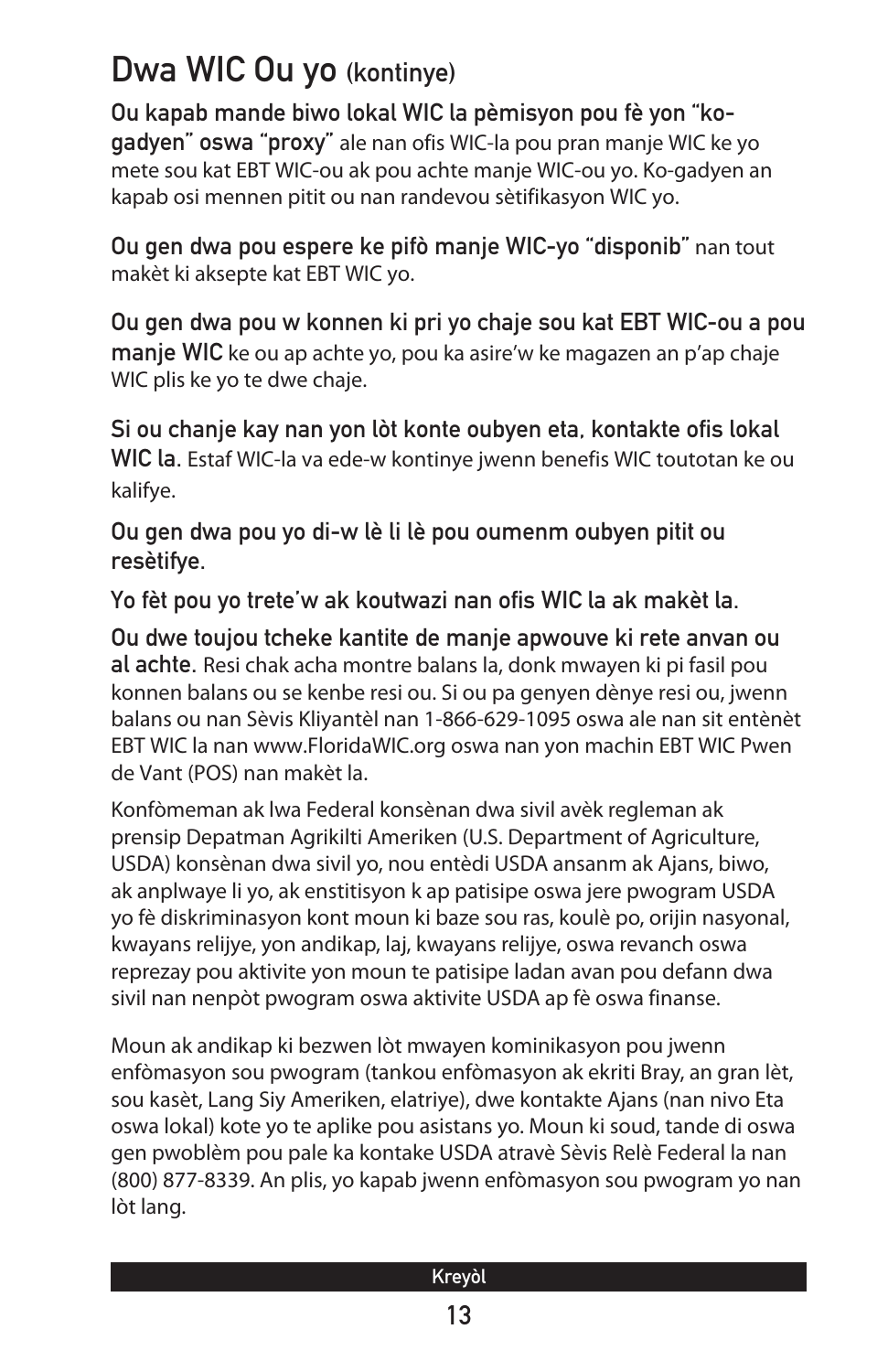#### Dwa WIC Ou yo (kontinye)

Ou kapab mande biwo lokal WIC la pèmisyon pou fè yon "kogadyen" oswa "proxy" ale nan ofis WIC-la pou pran manje WIC ke yo mete sou kat EBT WIC-ou ak pou achte manje WIC-ou yo. Ko-gadyen an kapab osi mennen pitit ou nan randevou sètifikasyon WIC yo.

Ou gen dwa pou espere ke pifò manje WIC-yo "disponib" nan tout makèt ki aksepte kat EBT WIC yo.

Ou gen dwa pou w konnen ki pri yo chaje sou kat EBT WIC-ou a pou manje WIC ke ou ap achte yo, pou ka asire'w ke magazen an p'ap chaje WIC plis ke yo te dwe chaje.

Si ou chanje kay nan yon lòt konte oubyen eta, kontakte ofis lokal WIC la. Estaf WIC-la va ede-w kontinye jwenn benefis WIC toutotan ke ou kalifye.

Ou gen dwa pou yo di-w lè li lè pou oumenm oubyen pitit ou resètifye.

Yo fèt pou yo trete'w ak koutwazi nan ofis WIC la ak makèt la.

Ou dwe toujou tcheke kantite de manje apwouve ki rete anvan ou al achte. Resi chak acha montre balans la, donk mwayen ki pi fasil pou konnen balans ou se kenbe resi ou. Si ou pa genyen dènye resi ou, jwenn balans ou nan Sèvis Kliyantèl nan 1-866-629-1095 oswa ale nan sit entènèt EBT WIC la nan www.FloridaWIC.org oswa nan yon machin EBT WIC Pwen de Vant (POS) nan makèt la.

Konfòmeman ak lwa Federal konsènan dwa sivil avèk regleman ak prensip Depatman Agrikilti Ameriken (U.S. Department of Agriculture, USDA) konsènan dwa sivil yo, nou entèdi USDA ansanm ak Ajans, biwo, ak anplwaye li yo, ak enstitisyon k ap patisipe oswa jere pwogram USDA yo fè diskriminasyon kont moun ki baze sou ras, koulè po, orijin nasyonal, kwayans relijye, yon andikap, laj, kwayans relijye, oswa revanch oswa reprezay pou aktivite yon moun te patisipe ladan avan pou defann dwa sivil nan nenpòt pwogram oswa aktivite USDA ap fè oswa finanse.

Moun ak andikap ki bezwen lòt mwayen kominikasyon pou jwenn enfòmasyon sou pwogram (tankou enfòmasyon ak ekriti Bray, an gran lèt, sou kasèt, Lang Siy Ameriken, elatriye), dwe kontakte Ajans (nan nivo Eta oswa lokal) kote yo te aplike pou asistans yo. Moun ki soud, tande di oswa gen pwoblèm pou pale ka kontake USDA atravè Sèvis Relè Federal la nan (800) 877-8339. An plis, yo kapab jwenn enfòmasyon sou pwogram yo nan lòt lang.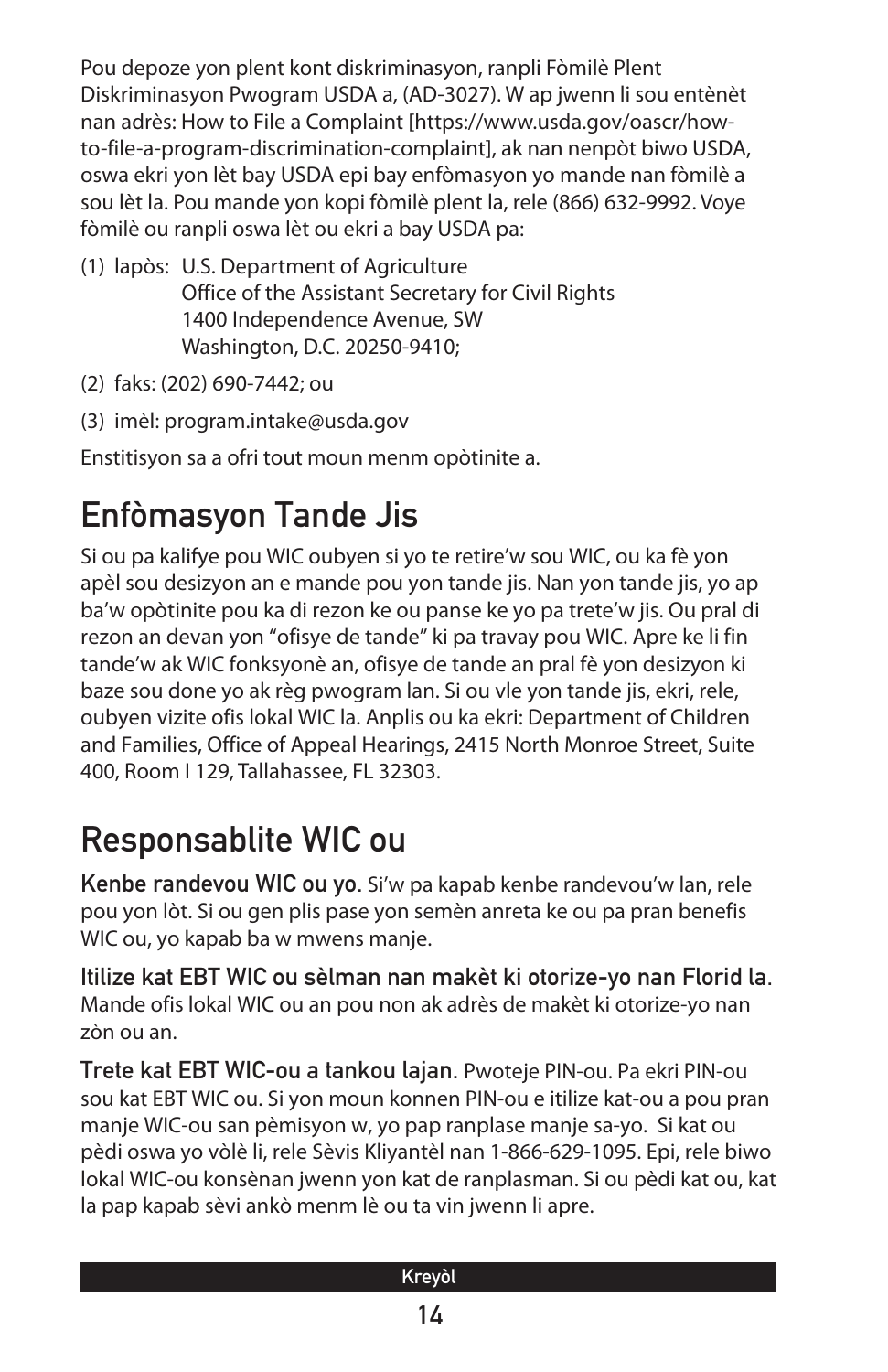Pou depoze yon plent kont diskriminasyon, ranpli Fòmilè Plent Diskriminasyon Pwogram USDA a, (AD-3027). W ap jwenn li sou entènèt nan adrès: How to File a Complaint [https://www.usda.gov/oascr/howto-file-a-program-discrimination-complaint], ak nan nenpòt biwo USDA, oswa ekri yon lèt bay USDA epi bay enfòmasyon yo mande nan fòmilè a sou lèt la. Pou mande yon kopi fòmilè plent la, rele (866) 632-9992. Voye fòmilè ou ranpli oswa lèt ou ekri a bay USDA pa:

- (1) lapòs: U.S. Department of Agriculture Office of the Assistant Secretary for Civil Rights 1400 Independence Avenue, SW Washington, D.C. 20250-9410;
- (2) faks: (202) 690-7442; ou
- (3) imèl: program.intake@usda.gov

Enstitisyon sa a ofri tout moun menm opòtinite a.

# Enfòmasyon Tande Jis

Si ou pa kalifye pou WIC oubyen si yo te retire'w sou WIC, ou ka fè yon apèl sou desizyon an e mande pou yon tande jis. Nan yon tande jis, yo ap ba'w opòtinite pou ka di rezon ke ou panse ke yo pa trete'w jis. Ou pral di rezon an devan yon "ofisye de tande" ki pa travay pou WIC. Apre ke li fin tande'w ak WIC fonksyonè an, ofisye de tande an pral fè yon desizyon ki baze sou done yo ak règ pwogram lan. Si ou vle yon tande jis, ekri, rele, oubyen vizite ofis lokal WIC la. Anplis ou ka ekri: Department of Children and Families, Office of Appeal Hearings, 2415 North Monroe Street, Suite 400, Room I 129, Tallahassee, FL 32303.

### Responsablite WIC ou

Kenbe randevou WIC ou yo. Si'w pa kapab kenbe randevou'w lan, rele pou yon lòt. Si ou gen plis pase yon semèn anreta ke ou pa pran benefis WIC ou, yo kapab ba w mwens manje.

Itilize kat EBT WIC ou sèlman nan makèt ki otorize-yo nan Florid la. Mande ofis lokal WIC ou an pou non ak adrès de makèt ki otorize-yo nan zòn ou an.

Trete kat EBT WIC-ou a tankou lajan. Pwoteje PIN-ou. Pa ekri PIN-ou sou kat EBT WIC ou. Si yon moun konnen PIN-ou e itilize kat-ou a pou pran manje WIC-ou san pèmisyon w, yo pap ranplase manje sa-yo. Si kat ou pèdi oswa yo vòlè li, rele Sèvis Kliyantèl nan 1-866-629-1095. Epi, rele biwo lokal WIC-ou konsènan jwenn yon kat de ranplasman. Si ou pèdi kat ou, kat la pap kapab sèvi ankò menm lè ou ta vin jwenn li apre.

| Kreyòl |  |
|--------|--|
| 14     |  |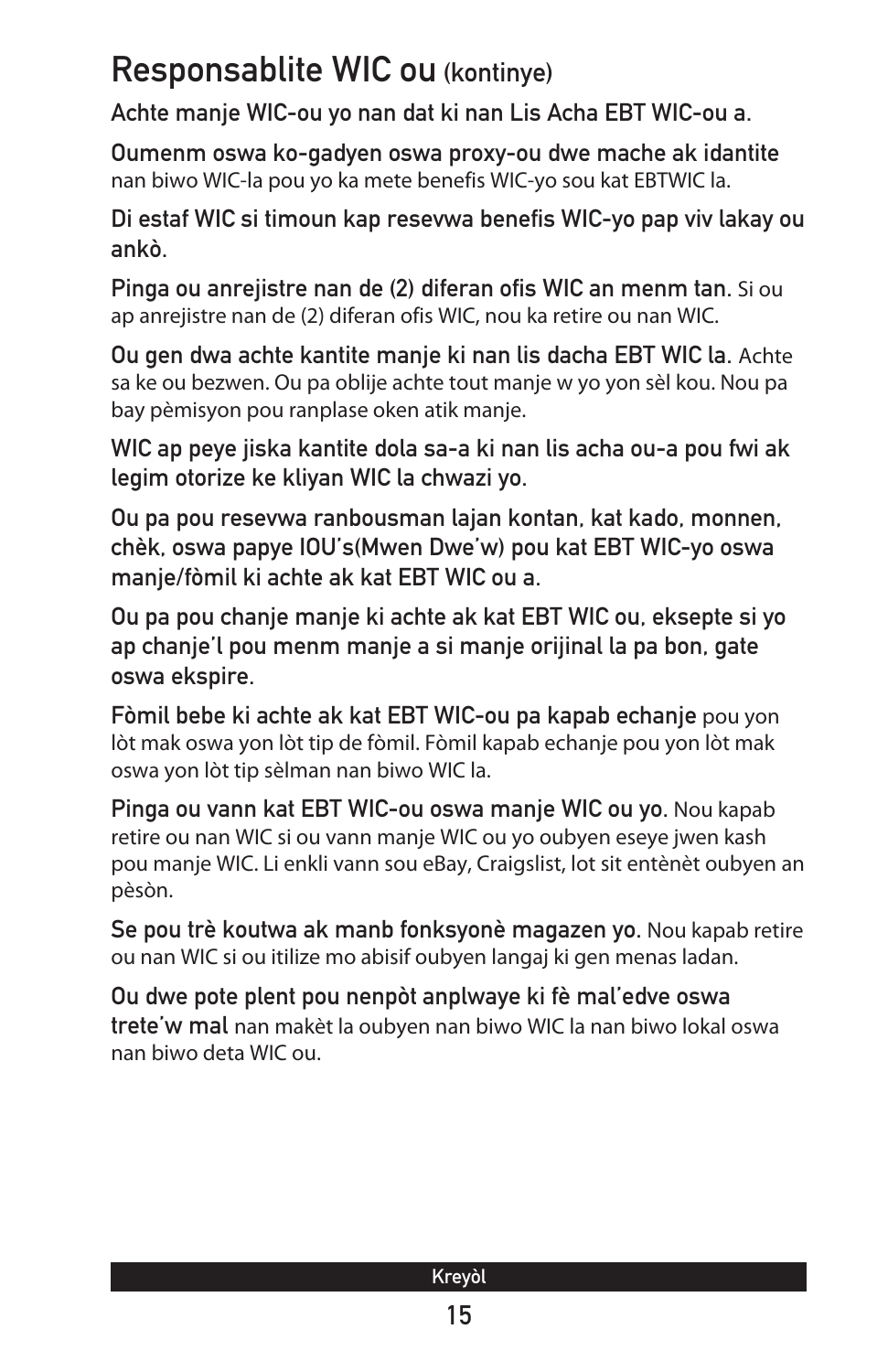#### Responsablite WIC ou (kontinye)

Achte manje WIC-ou yo nan dat ki nan Lis Acha EBT WIC-ou a.

Oumenm oswa ko-gadyen oswa proxy-ou dwe mache ak idantite nan biwo WIC-la pou yo ka mete benefis WIC-yo sou kat EBTWIC la.

Di estaf WIC si timoun kap resevwa benefis WIC-yo pap viv lakay ou ankò.

Pinga ou anrejistre nan de (2) diferan ofis WIC an menm tan. Si ou ap anrejistre nan de (2) diferan ofis WIC, nou ka retire ou nan WIC.

Ou gen dwa achte kantite manje ki nan lis dacha EBT WIC la. Achte sa ke ou bezwen. Ou pa oblije achte tout manje w yo yon sèl kou. Nou pa bay pèmisyon pou ranplase oken atik manje.

WIC ap peye jiska kantite dola sa-a ki nan lis acha ou-a pou fwi ak legim otorize ke kliyan WIC la chwazi yo.

Ou pa pou resevwa ranbousman lajan kontan, kat kado, monnen, chèk, oswa papye IOU's(Mwen Dwe'w) pou kat EBT WIC-yo oswa manje/fòmil ki achte ak kat EBT WIC ou a.

Ou pa pou chanje manje ki achte ak kat EBT WIC ou, eksepte si yo ap chanje'l pou menm manje a si manje orijinal la pa bon, gate oswa ekspire.

Fòmil bebe ki achte ak kat EBT WIC-ou pa kapab echanje pou yon lòt mak oswa yon lòt tip de fòmil. Fòmil kapab echanje pou yon lòt mak oswa yon lòt tip sèlman nan biwo WIC la.

Pinga ou vann kat EBT WIC-ou oswa manje WIC ou yo. Nou kapab retire ou nan WIC si ou vann manje WIC ou yo oubyen eseye jwen kash pou manje WIC. Li enkli vann sou eBay, Craigslist, lot sit entènèt oubyen an pèsòn.

Se pou trè koutwa ak manb fonksyonè magazen yo. Nou kapab retire ou nan WIC si ou itilize mo abisif oubyen langaj ki gen menas ladan.

Ou dwe pote plent pou nenpòt anplwaye ki fè mal'edve oswa trete'w mal nan makèt la oubyen nan biwo WIC la nan biwo lokal oswa nan biwo deta WIC ou.